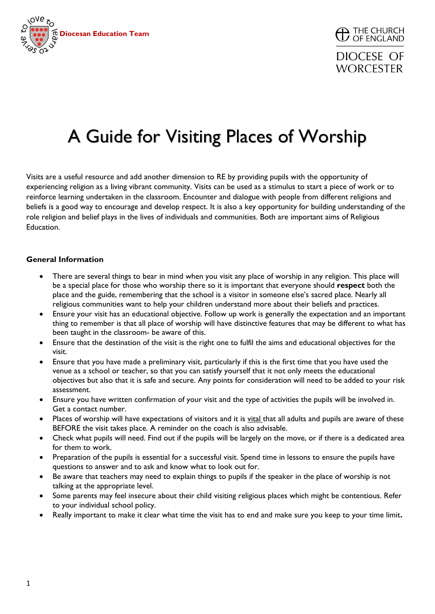



## A Guide for Visiting Places of Worship

Visits are a useful resource and add another dimension to RE by providing pupils with the opportunity of experiencing religion as a living vibrant community. Visits can be used as a stimulus to start a piece of work or to reinforce learning undertaken in the classroom. Encounter and dialogue with people from different religions and beliefs is a good way to encourage and develop respect. It is also a key opportunity for building understanding of the role religion and belief plays in the lives of individuals and communities. Both are important aims of Religious Education.

#### **General Information**

- There are several things to bear in mind when you visit any place of worship in any religion. This place will be a special place for those who worship there so it is important that everyone should **respect** both the place and the guide, remembering that the school is a visitor in someone else's sacred place. Nearly all religious communities want to help your children understand more about their beliefs and practices.
- Ensure your visit has an educational objective. Follow up work is generally the expectation and an important thing to remember is that all place of worship will have distinctive features that may be different to what has been taught in the classroom- be aware of this.
- Ensure that the destination of the visit is the right one to fulfil the aims and educational objectives for the visit.
- Ensure that you have made a preliminary visit, particularly if this is the first time that you have used the venue as a school or teacher, so that you can satisfy yourself that it not only meets the educational objectives but also that it is safe and secure. Any points for consideration will need to be added to your risk assessment.
- Ensure you have written confirmation of your visit and the type of activities the pupils will be involved in. Get a contact number.
- Places of worship will have expectations of visitors and it is vital that all adults and pupils are aware of these BEFORE the visit takes place. A reminder on the coach is also advisable.
- Check what pupils will need. Find out if the pupils will be largely on the move, or if there is a dedicated area for them to work.
- Preparation of the pupils is essential for a successful visit. Spend time in lessons to ensure the pupils have questions to answer and to ask and know what to look out for.
- Be aware that teachers may need to explain things to pupils if the speaker in the place of worship is not talking at the appropriate level.
- Some parents may feel insecure about their child visiting religious places which might be contentious. Refer to your individual school policy.
- Really important to make it clear what time the visit has to end and make sure you keep to your time limit**.**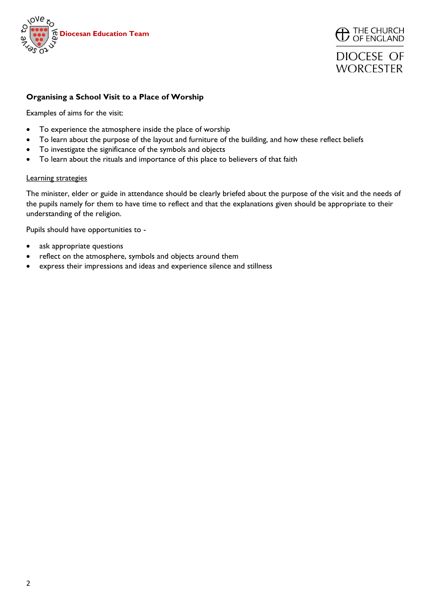



## **DIOCESE OF WORCESTER**

#### **Organising a School Visit to a Place of Worship**

Examples of aims for the visit:

- To experience the atmosphere inside the place of worship
- To learn about the purpose of the layout and furniture of the building, and how these reflect beliefs
- To investigate the significance of the symbols and objects
- To learn about the rituals and importance of this place to believers of that faith

#### Learning strategies

The minister, elder or guide in attendance should be clearly briefed about the purpose of the visit and the needs of the pupils namely for them to have time to reflect and that the explanations given should be appropriate to their understanding of the religion.

Pupils should have opportunities to -

- ask appropriate questions
- reflect on the atmosphere, symbols and objects around them
- express their impressions and ideas and experience silence and stillness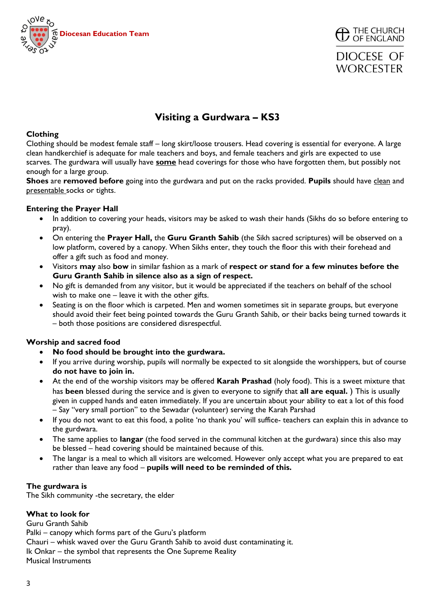



## **Visiting a Gurdwara – KS3**

#### **Clothing**

Clothing should be modest female staff – long skirt/loose trousers. Head covering is essential for everyone. A large clean handkerchief is adequate for male teachers and boys, and female teachers and girls are expected to use scarves. The gurdwara will usually have **some** head coverings for those who have forgotten them, but possibly not enough for a large group.

**Shoes** are **removed before** going into the gurdwara and put on the racks provided. **Pupils** should have clean and presentable socks or tights.

#### **Entering the Prayer Hall**

- In addition to covering your heads, visitors may be asked to wash their hands (Sikhs do so before entering to pray).
- On entering the **Prayer Hall,** the **Guru Granth Sahib** (the Sikh sacred scriptures) will be observed on a low platform, covered by a canopy. When Sikhs enter, they touch the floor this with their forehead and offer a gift such as food and money.
- Visitors **may** also **bow** in similar fashion as a mark of **respect or stand for a few minutes before the Guru Granth Sahib in silence also as a sign of respect.**
- No gift is demanded from any visitor, but it would be appreciated if the teachers on behalf of the school wish to make one – leave it with the other gifts.
- Seating is on the floor which is carpeted. Men and women sometimes sit in separate groups, but everyone should avoid their feet being pointed towards the Guru Granth Sahib, or their backs being turned towards it – both those positions are considered disrespectful.

#### **Worship and sacred food**

- **No food should be brought into the gurdwara.**
- If you arrive during worship, pupils will normally be expected to sit alongside the worshippers, but of course **do not have to join in.**
- At the end of the worship visitors may be offered **Karah Prashad** (holy food). This is a sweet mixture that has **been** blessed during the service and is given to everyone to signify that **all are equal.** ) This is usually given in cupped hands and eaten immediately. If you are uncertain about your ability to eat a lot of this food – Say "very small portion" to the Sewadar (volunteer) serving the Karah Parshad
- If you do not want to eat this food, a polite 'no thank you' will suffice- teachers can explain this in advance to the gurdwara.
- The same applies to **langar** (the food served in the communal kitchen at the gurdwara) since this also may be blessed – head covering should be maintained because of this.
- The langar is a meal to which all visitors are welcomed. However only accept what you are prepared to eat rather than leave any food – **pupils will need to be reminded of this.**

#### **The gurdwara is**

The Sikh community -the secretary, the elder

#### **What to look for**

Guru Granth Sahib Palki – canopy which forms part of the Guru's platform Chauri – whisk waved over the Guru Granth Sahib to avoid dust contaminating it. Ik Onkar – the symbol that represents the One Supreme Reality Musical Instruments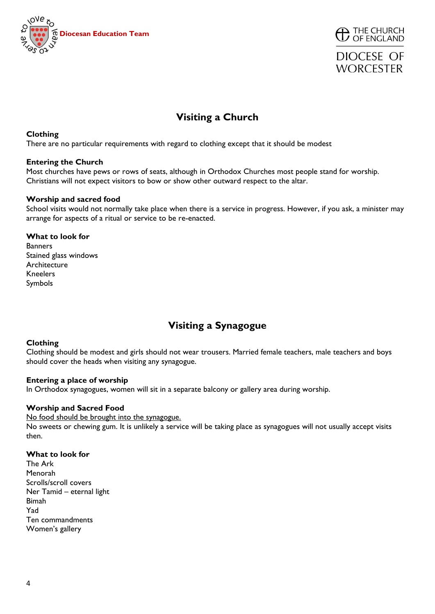



## **Visiting a Church**

#### **Clothing**

There are no particular requirements with regard to clothing except that it should be modest

#### **Entering the Church**

Most churches have pews or rows of seats, although in Orthodox Churches most people stand for worship. Christians will not expect visitors to bow or show other outward respect to the altar.

#### **Worship and sacred food**

School visits would not normally take place when there is a service in progress. However, if you ask, a minister may arrange for aspects of a ritual or service to be re-enacted.

#### **What to look for Banners** Stained glass windows Architecture Kneelers Symbols

## **Visiting a Synagogue**

#### **Clothing**

Clothing should be modest and girls should not wear trousers. Married female teachers, male teachers and boys should cover the heads when visiting any synagogue.

#### **Entering a place of worship**

In Orthodox synagogues, women will sit in a separate balcony or gallery area during worship.

#### **Worship and Sacred Food**

No food should be brought into the synagogue. No sweets or chewing gum. It is unlikely a service will be taking place as synagogues will not usually accept visits then.

#### **What to look for**

The Ark Menorah Scrolls/scroll covers Ner Tamid – eternal light Bimah Yad Ten commandments Women's gallery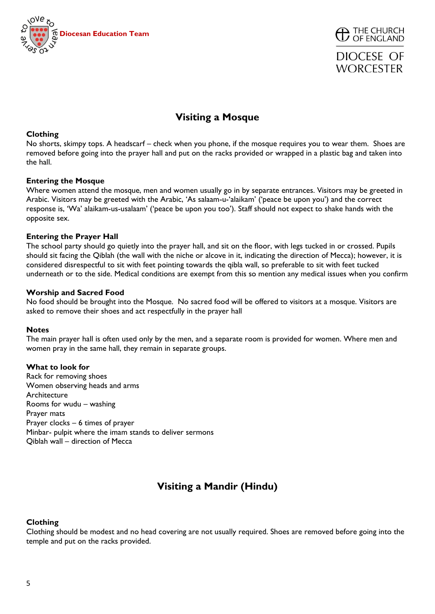



## **Visiting a Mosque**

#### **Clothing**

No shorts, skimpy tops. A headscarf – check when you phone, if the mosque requires you to wear them. Shoes are removed before going into the prayer hall and put on the racks provided or wrapped in a plastic bag and taken into the hall.

#### **Entering the Mosque**

Where women attend the mosque, men and women usually go in by separate entrances. Visitors may be greeted in Arabic. Visitors may be greeted with the Arabic, 'As salaam-u-'alaikam' ('peace be upon you') and the correct response is, 'Wa' alaikam-us-usalaam' ('peace be upon you too'). Staff should not expect to shake hands with the opposite sex.

#### **Entering the Prayer Hall**

The school party should go quietly into the prayer hall, and sit on the floor, with legs tucked in or crossed. Pupils should sit facing the Qiblah (the wall with the niche or alcove in it, indicating the direction of Mecca); however, it is considered disrespectful to sit with feet pointing towards the qibla wall, so preferable to sit with feet tucked underneath or to the side. Medical conditions are exempt from this so mention any medical issues when you confirm

#### **Worship and Sacred Food**

No food should be brought into the Mosque. No sacred food will be offered to visitors at a mosque. Visitors are asked to remove their shoes and act respectfully in the prayer hall

#### **Notes**

The main prayer hall is often used only by the men, and a separate room is provided for women. Where men and women pray in the same hall, they remain in separate groups.

#### **What to look for**

Rack for removing shoes Women observing heads and arms Architecture Rooms for wudu – washing Prayer mats Prayer clocks – 6 times of prayer Minbar- pulpit where the imam stands to deliver sermons Qiblah wall – direction of Mecca

## **Visiting a Mandir (Hindu)**

#### **Clothing**

Clothing should be modest and no head covering are not usually required. Shoes are removed before going into the temple and put on the racks provided.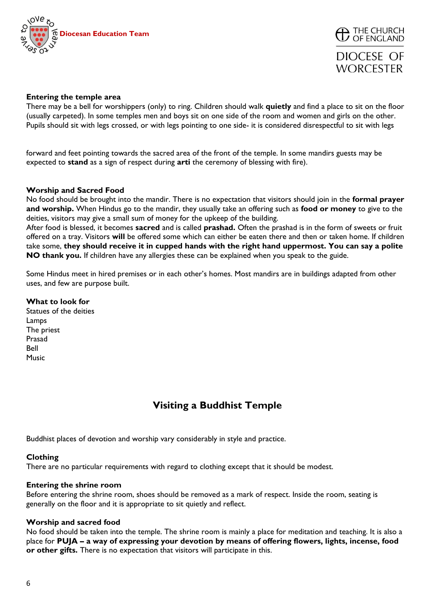



**DIOCESE OF WORCESTER** 

#### **Entering the temple area**

There may be a bell for worshippers (only) to ring. Children should walk **quietly** and find a place to sit on the floor (usually carpeted). In some temples men and boys sit on one side of the room and women and girls on the other. Pupils should sit with legs crossed, or with legs pointing to one side- it is considered disrespectful to sit with legs

forward and feet pointing towards the sacred area of the front of the temple. In some mandirs guests may be expected to **stand** as a sign of respect during **arti** the ceremony of blessing with fire).

#### **Worship and Sacred Food**

No food should be brought into the mandir. There is no expectation that visitors should join in the **formal prayer and worship.** When Hindus go to the mandir, they usually take an offering such as **food or money** to give to the deities, visitors may give a small sum of money for the upkeep of the building.

After food is blessed, it becomes **sacred** and is called **prashad.** Often the prashad is in the form of sweets or fruit offered on a tray. Visitors **will** be offered some which can either be eaten there and then or taken home. If children take some, **they should receive it in cupped hands with the right hand uppermost. You can say a polite NO thank you.** If children have any allergies these can be explained when you speak to the guide.

Some Hindus meet in hired premises or in each other's homes. Most mandirs are in buildings adapted from other uses, and few are purpose built.

#### **What to look for**

Statues of the deities Lamps The priest Prasad Bell Music

### **Visiting a Buddhist Temple**

Buddhist places of devotion and worship vary considerably in style and practice.

#### **Clothing**

There are no particular requirements with regard to clothing except that it should be modest.

#### **Entering the shrine room**

Before entering the shrine room, shoes should be removed as a mark of respect. Inside the room, seating is generally on the floor and it is appropriate to sit quietly and reflect.

#### **Worship and sacred food**

No food should be taken into the temple. The shrine room is mainly a place for meditation and teaching. It is also a place for **PUJA – a way of expressing your devotion by means of offering flowers, lights, incense, food or other gifts.** There is no expectation that visitors will participate in this.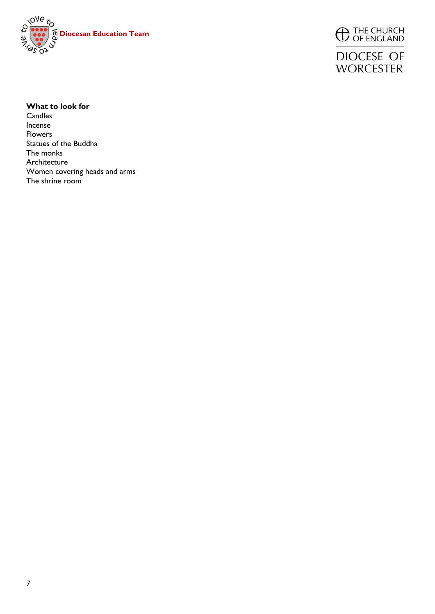



**DIOCESE OF WORCESTER** 

#### **What to look for**

**Candles** Incense Flowers Statues of the Buddha The monks Architecture Women covering heads and arms The shrine room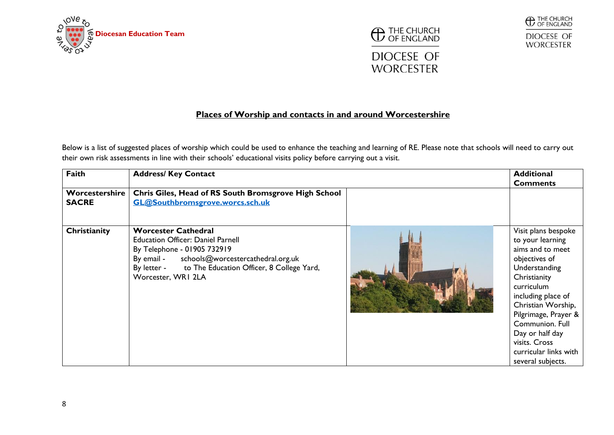





## **WORCESTER**

#### **Places of Worship and contacts in and around Worcestershire**

Below is a list of suggested places of worship which could be used to enhance the teaching and learning of RE. Please note that schools will need to carry out their own risk assessments in line with their schools' educational visits policy before carrying out a visit.

| Faith                          | <b>Address/ Key Contact</b>                                                                                                                                                                                                          |  | <b>Additional</b><br><b>Comments</b>                                                                                                                                                                                                                                                                 |
|--------------------------------|--------------------------------------------------------------------------------------------------------------------------------------------------------------------------------------------------------------------------------------|--|------------------------------------------------------------------------------------------------------------------------------------------------------------------------------------------------------------------------------------------------------------------------------------------------------|
| Worcestershire<br><b>SACRE</b> | Chris Giles, Head of RS South Bromsgrove High School<br>GL@Southbromsgrove.worcs.sch.uk                                                                                                                                              |  |                                                                                                                                                                                                                                                                                                      |
| Christianity                   | <b>Worcester Cathedral</b><br><b>Education Officer: Daniel Parnell</b><br>By Telephone - 01905 732919<br>By email - schools@worcestercathedral.org.uk<br>By letter - to The Education Officer, 8 College Yard,<br>Worcester, WRI 2LA |  | Visit plans bespoke<br>to your learning<br>aims and to meet<br>objectives of<br>Understanding<br>Christianity<br>curriculum<br>including place of<br>Christian Worship,<br>Pilgrimage, Prayer &<br>Communion, Full<br>Day or half day<br>visits. Cross<br>curricular links with<br>several subjects. |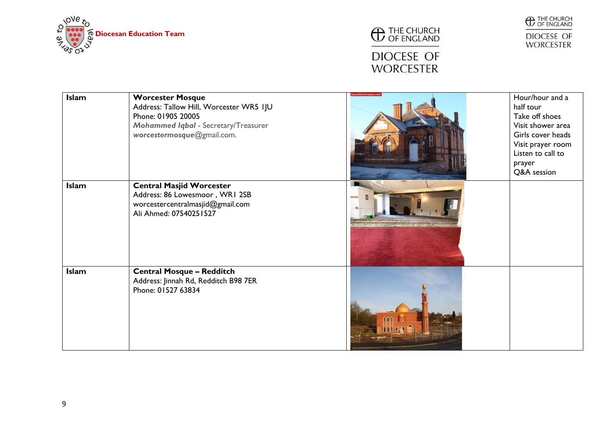





DIOCESE OF<br>WORCESTER

# DIOCESE OF<br>WORCESTER

| <b>Islam</b> | <b>Worcester Mosque</b><br>Address: Tallow Hill, Worcester WR5 IJU<br>Phone: 01905 20005<br><b>Mohammed Iqbal - Secretary/Treasurer</b><br>worcestermosque@gmail.com. | eautifulmosque.con | Hour/hour and a<br>half tour<br>Take off shoes<br>Visit shower area<br>Girls cover heads<br>Visit prayer room<br>Listen to call to<br>prayer<br>Q&A session |
|--------------|-----------------------------------------------------------------------------------------------------------------------------------------------------------------------|--------------------|-------------------------------------------------------------------------------------------------------------------------------------------------------------|
| <b>Islam</b> | <b>Central Masjid Worcester</b><br>Address: 86 Lowesmoor, WRI 2SB<br>worcestercentralmasjid@gmail.com<br>Ali Ahmed: 07540251527                                       |                    |                                                                                                                                                             |
| <b>Islam</b> | <b>Central Mosque - Redditch</b><br>Address: Jinnah Rd, Redditch B98 7ER<br>Phone: 01527 63834                                                                        |                    |                                                                                                                                                             |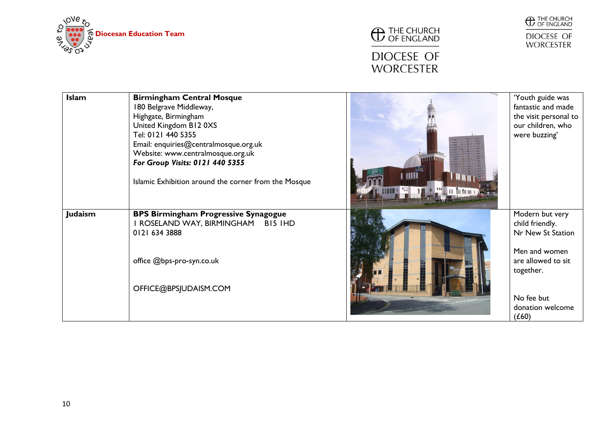





| <b>Islam</b> | <b>Birmingham Central Mosque</b><br>180 Belgrave Middleway,<br>Highgate, Birmingham<br>United Kingdom B12 0XS<br>Tel: 0121 440 5355<br>Email: enquiries@centralmosque.org.uk<br>Website: www.centralmosque.org.uk<br>For Group Visits: 0121 440 5355<br>Islamic Exhibition around the corner from the Mosque | <b>THILE</b><br>, 11   11   11   11   1 | 'Youth guide was<br>fantastic and made<br>the visit personal to<br>our children, who<br>were buzzing'                                                  |
|--------------|--------------------------------------------------------------------------------------------------------------------------------------------------------------------------------------------------------------------------------------------------------------------------------------------------------------|-----------------------------------------|--------------------------------------------------------------------------------------------------------------------------------------------------------|
| Judaism      | <b>BPS Birmingham Progressive Synagogue</b><br>I ROSELAND WAY, BIRMINGHAM<br>BI5 IHD<br>0121 634 3888<br>office @bps-pro-syn.co.uk<br>OFFICE@BPSJUDAISM.COM                                                                                                                                                  |                                         | Modern but very<br>child friendly.<br>Nr New St Station<br>Men and women<br>are allowed to sit<br>together.<br>No fee but<br>donation welcome<br>(£60) |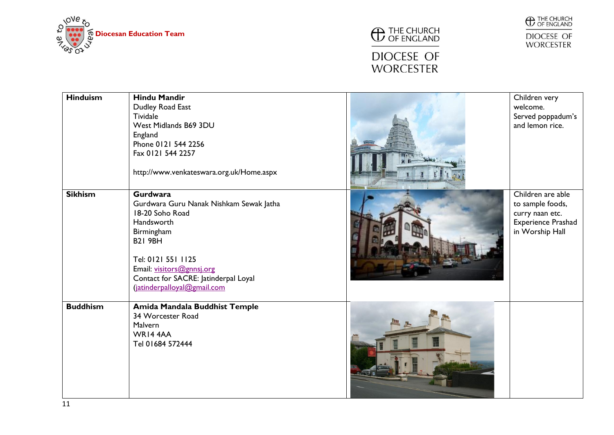



# DIOCESE OF<br>WORCESTER



DIOCESE OF<br>WORCESTER

| <b>Hinduism</b> | <b>Hindu Mandir</b><br>Dudley Road East<br><b>Tividale</b><br>West Midlands B69 3DU<br>England<br>Phone 0121 544 2256<br>Fax 0121 544 2257<br>http://www.venkateswara.org.uk/Home.aspx                                                                | Children very<br>welcome.<br>Served poppadum's<br>and lemon rice.                                        |
|-----------------|-------------------------------------------------------------------------------------------------------------------------------------------------------------------------------------------------------------------------------------------------------|----------------------------------------------------------------------------------------------------------|
| <b>Sikhism</b>  | <b>Gurdwara</b><br>Gurdwara Guru Nanak Nishkam Sewak Jatha<br>18-20 Soho Road<br>Handsworth<br>Birmingham<br><b>B21 9BH</b><br>Tel: 0121 551 1125<br>Email: visitors@gnnsj.org<br>Contact for SACRE: Jatinderpal Loyal<br>(jatinderpalloyal@gmail.com | Children are able<br>to sample foods,<br>curry naan etc.<br><b>Experience Prashad</b><br>in Worship Hall |
| <b>Buddhism</b> | Amida Mandala Buddhist Temple<br>34 Worcester Road<br>Malvern<br>WR14 4AA<br>Tel 01684 572444                                                                                                                                                         |                                                                                                          |